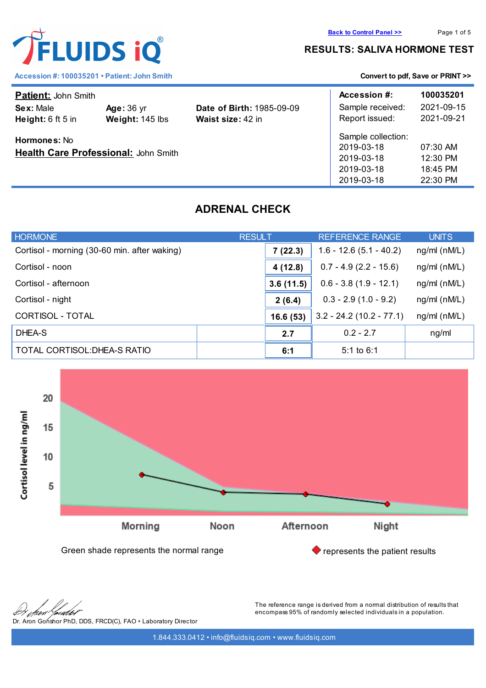## **RESULTS: SALIVA HORMONE TEST**

| <b>Patient: John Smith</b>                                  |                                      |                                                       | Accession #:                                                               | 100035201                                    |
|-------------------------------------------------------------|--------------------------------------|-------------------------------------------------------|----------------------------------------------------------------------------|----------------------------------------------|
| Sex: Male<br>Height: $6$ ft $5$ in                          | <b>Age: 36 yr</b><br>Weight: 145 lbs | <b>Date of Birth: 1985-09-09</b><br>Waist size: 42 in | Sample received:<br>Report issued:                                         | 2021-09-15<br>2021-09-21                     |
| <b>Hormones: No</b><br>Health Care Professional: John Smith |                                      |                                                       | Sample collection:<br>2019-03-18<br>2019-03-18<br>2019-03-18<br>2019-03-18 | 07:30 AM<br>12:30 PM<br>18:45 PM<br>22:30 PM |

# **ADRENAL CHECK**

| <b>HORMONE</b>                               | <b>RESULT</b> | <b>REFERENCE RANGE</b>     | <b>UNITS</b>       |
|----------------------------------------------|---------------|----------------------------|--------------------|
| Cortisol - morning (30-60 min. after waking) | 7(22.3)       | $1.6 - 12.6(5.1 - 40.2)$   | $ng/ml$ ( $nM/L$ ) |
| Cortisol - noon                              | 4(12.8)       | $0.7 - 4.9(2.2 - 15.6)$    | $ng/ml$ ( $nM/L$ ) |
| Cortisol - afternoon                         | 3.6(11.5)     | $0.6 - 3.8(1.9 - 12.1)$    | ng/ml (nM/L)       |
| Cortisol - night                             |               | $0.3 - 2.9(1.0 - 9.2)$     | ng/ml (nM/L)       |
| CORTISOL - TOTAL                             | 16.6(53)      | $3.2 - 24.2$ (10.2 - 77.1) | ng/ml (nM/L)       |
| DHEA-S                                       | 2.7           | $0.2 - 2.7$                | ng/ml              |
| TOTAL CORTISOL: DHEA-S RATIO                 | 6:1           | 5:1 to $6:1$               |                    |





ialo Dr. Aron Gonshor PhD, DDS, FRCD(C), FAO • Laboratory Director The reference range is derived from a normal distribution of results that encompass 95% of randomly selected individuals in a population.

1.844.333.0412 • info@fluidsiq.com • www.fluidsiq.com



Accession #: 100035201 • Patient: John Smith **[Convert to pdf, Save or PRINT >>](convert_pdf.php?var=stage.fluidsiq.com/reports/graph_rep/report_adrenal.php?codelnk=2bff6bb6ee42b9a81954f88d3c5a3b20ac7b6b3a3a187f92814fdf6211b48575&codelnk=2bff6bb6ee42b9a81954f88d3c5a3b20ac7b6b3a3a187f92814fdf6211b48575&client=100035201)**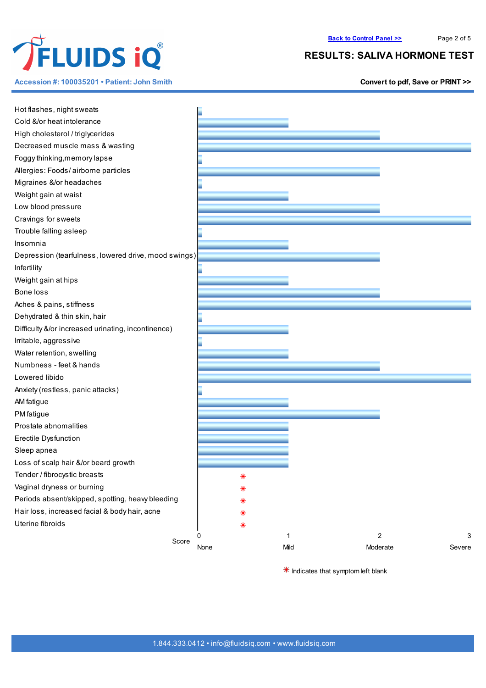

**Accession #: 100035201 • Patient: John Smith [Convert](convert_pdf.php?var=stage.fluidsiq.com/reports/graph_rep/report_adrenal.php?codelnk=2bff6bb6ee42b9a81954f88d3c5a3b20ac7b6b3a3a187f92814fdf6211b48575&codelnk=2bff6bb6ee42b9a81954f88d3c5a3b20ac7b6b3a3a187f92814fdf6211b48575&client=100035201) to pdf, Save or PRINT >>**

### **RESULTS: SALIVA HORMONE TEST**

| Hot flashes, night sweats<br>Cold &/or heat intolerance |        |      |                     |
|---------------------------------------------------------|--------|------|---------------------|
|                                                         |        |      |                     |
| High cholesterol / triglycerides                        |        |      |                     |
| Decreased muscle mass & wasting                         |        |      |                     |
| Foggy thinking, memory lapse                            |        |      |                     |
| Allergies: Foods/airborne particles                     |        |      |                     |
| Migraines &/or headaches                                |        |      |                     |
| Weight gain at waist                                    |        |      |                     |
| Low blood pressure                                      |        |      |                     |
| Cravings for sweets                                     |        |      |                     |
| Trouble falling as leep                                 |        |      |                     |
| Insomnia                                                |        |      |                     |
| Depression (tearfulness, lowered drive, mood swings)    |        |      |                     |
| Infertility                                             |        |      |                     |
| Weight gain at hips                                     |        |      |                     |
| Bone loss                                               |        |      |                     |
| Aches & pains, stiffness                                |        |      |                     |
| Dehydrated & thin skin, hair                            |        |      |                     |
| Difficulty &/or increased urinating, incontinence)      |        |      |                     |
| Irritable, aggressive                                   |        |      |                     |
| Water retention, swelling                               |        |      |                     |
| Numbness - feet & hands                                 |        |      |                     |
| Lowered libido                                          |        |      |                     |
| Anxiety (restless, panic attacks)                       |        |      |                     |
| AM fatigue                                              |        |      |                     |
| PM fatigue                                              |        |      |                     |
| Prostate abnomalities                                   |        |      |                     |
| Erectile Dysfunction                                    |        |      |                     |
| Sleep apnea                                             |        |      |                     |
| Loss of scalp hair &/or beard growth                    |        |      |                     |
| Tender / fibrocystic breasts                            | ⋇      |      |                     |
| Vaginal dryness or burning                              |        |      |                     |
| Periods absent/skipped, spotting, heavy bleeding        |        |      |                     |
| Hair loss, increased facial & body hair, acne           | ⋇      |      |                     |
| Uterine fibroids                                        |        |      |                     |
|                                                         | ∗<br>0 | 1    | $\overline{c}$<br>3 |
| Score                                                   | None   | Mild | Moderate<br>Severe  |
|                                                         |        |      |                     |

 $*$  Indicates that symptom left blank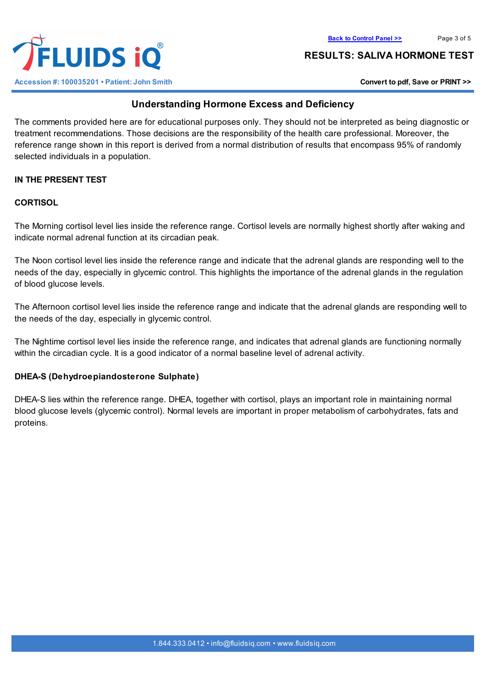

**ELUIDS 10 Accession #: 100035201 • Patient: John Smith [Convert](convert_pdf.php?var=stage.fluidsiq.com/reports/graph_rep/report_adrenal.php?codelnk=2bff6bb6ee42b9a81954f88d3c5a3b20ac7b6b3a3a187f92814fdf6211b48575&codelnk=2bff6bb6ee42b9a81954f88d3c5a3b20ac7b6b3a3a187f92814fdf6211b48575&client=100035201) to pdf, Save or PRINT >>**

### **RESULTS: SALIVA HORMONE TEST**

## **Understanding Hormone Excess and Deficiency**

The comments provided here are for educational purposes only. They should not be interpreted as being diagnostic or treatment recommendations. Those decisions are the responsibility of the health care professional. Moreover, the reference range shown in this report is derived from a normal distribution of results that encompass 95% of randomly selected individuals in a population.

## **IN THE PRESENT TEST**

### **CORTISOL**

The Morning cortisol level lies inside the reference range. Cortisol levels are normally highest shortly after waking and indicate normal adrenal function at its circadian peak.

The Noon cortisol level lies inside the reference range and indicate that the adrenal glands are responding well to the needs of the day, especially in glycemic control. This highlights the importance of the adrenal glands in the regulation of blood glucose levels.

The Afternoon cortisol level lies inside the reference range and indicate that the adrenal glands are responding well to the needs of the day, especially in glycemic control.

The Nightime cortisol level lies inside the reference range, and indicates that adrenal glands are functioning normally within the circadian cycle. It is a good indicator of a normal baseline level of adrenal activity.

### **DHEA-S (Dehydroepiandosterone Sulphate)**

DHEA-S lies within the reference range. DHEA, together with cortisol, plays an important role in maintaining normal blood glucose levels (glycemic control). Normal levels are important in proper metabolism of carbohydrates, fats and proteins.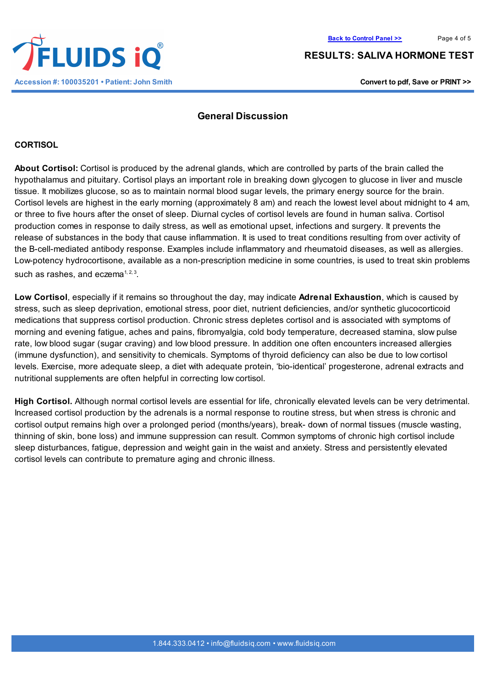**RESULTS: SALIVA HORMONE TEST**

## **General Discussion**

#### **CORTISOL**

**About Cortisol:** Cortisol is produced by the adrenal glands, which are controlled by parts of the brain called the hypothalamus and pituitary. Cortisol plays an important role in breaking down glycogen to glucose in liver and muscle tissue. It mobilizes glucose, so as to maintain normal blood sugar levels, the primary energy source for the brain. Cortisol levels are highest in the early morning (approximately 8 am) and reach the lowest level about midnight to 4 am, or three to five hours after the onset of sleep. Diurnal cycles of cortisol levels are found in human saliva. Cortisol production comes in response to daily stress, as well as emotional upset, infections and surgery. It prevents the release of substances in the body that cause inflammation. It is used to treat conditions resulting from over activity of the B-cell-mediated antibody response. Examples include inflammatory and rheumatoid diseases, as well as allergies. Low-potency hydrocortisone, available as a non-prescription medicine in some countries, is used to treat skin problems such as rashes, and eczema $1, 2, 3$ .

**Low Cortisol**, especially if it remains so throughout the day, may indicate **Adrenal Exhaustion**, which is caused by stress, such as sleep deprivation, emotional stress, poor diet, nutrient deficiencies, and/or synthetic glucocorticoid medications that suppress cortisol production. Chronic stress depletes cortisol and is associated with symptoms of morning and evening fatigue, aches and pains, fibromyalgia, cold body temperature, decreased stamina, slow pulse rate, low blood sugar (sugar craving) and low blood pressure. In addition one often encounters increased allergies (immune dysfunction), and sensitivity to chemicals. Symptoms of thyroid deficiency can also be due to low cortisol levels. Exercise, more adequate sleep, a diet with adequate protein, 'bio-identical' progesterone, adrenal extracts and nutritional supplements are often helpful in correcting low cortisol.

**High Cortisol.** Although normal cortisol levels are essential for life, chronically elevated levels can be very detrimental. Increased cortisol production by the adrenals is a normal response to routine stress, but when stress is chronic and cortisol output remains high over a prolonged period (months/years), break- down of normal tissues (muscle wasting, thinning of skin, bone loss) and immune suppression can result. Common symptoms of chronic high cortisol include sleep disturbances, fatigue, depression and weight gain in the waist and anxiety. Stress and persistently elevated cortisol levels can contribute to premature aging and chronic illness.